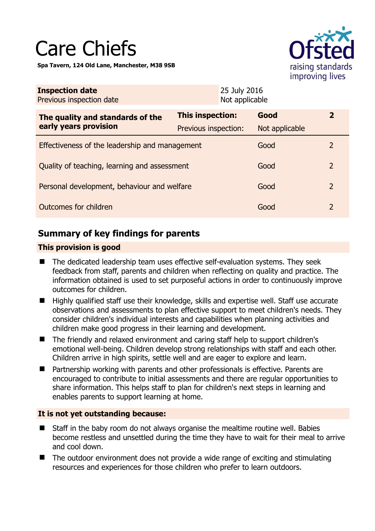# Care Chiefs

**Spa Tavern, 124 Old Lane, Manchester, M38 9SB** 



| <b>Inspection date</b><br>Previous inspection date        |                      | 25 July 2016<br>Not applicable |                |               |
|-----------------------------------------------------------|----------------------|--------------------------------|----------------|---------------|
| The quality and standards of the<br>early years provision | This inspection:     |                                | Good           | $\mathbf{z}$  |
|                                                           | Previous inspection: |                                | Not applicable |               |
| Effectiveness of the leadership and management            |                      |                                | Good           | $\mathcal{L}$ |
| Quality of teaching, learning and assessment              |                      |                                | Good           | 2             |
| Personal development, behaviour and welfare               |                      |                                | Good           | 2             |
| Outcomes for children                                     |                      |                                | Good           | 2             |

# **Summary of key findings for parents**

## **This provision is good**

- The dedicated leadership team uses effective self-evaluation systems. They seek feedback from staff, parents and children when reflecting on quality and practice. The information obtained is used to set purposeful actions in order to continuously improve outcomes for children.
- Highly qualified staff use their knowledge, skills and expertise well. Staff use accurate observations and assessments to plan effective support to meet children's needs. They consider children's individual interests and capabilities when planning activities and children make good progress in their learning and development.
- The friendly and relaxed environment and caring staff help to support children's emotional well-being. Children develop strong relationships with staff and each other. Children arrive in high spirits, settle well and are eager to explore and learn.
- Partnership working with parents and other professionals is effective. Parents are encouraged to contribute to initial assessments and there are regular opportunities to share information. This helps staff to plan for children's next steps in learning and enables parents to support learning at home.

## **It is not yet outstanding because:**

- Staff in the baby room do not always organise the mealtime routine well. Babies become restless and unsettled during the time they have to wait for their meal to arrive and cool down.
- The outdoor environment does not provide a wide range of exciting and stimulating resources and experiences for those children who prefer to learn outdoors.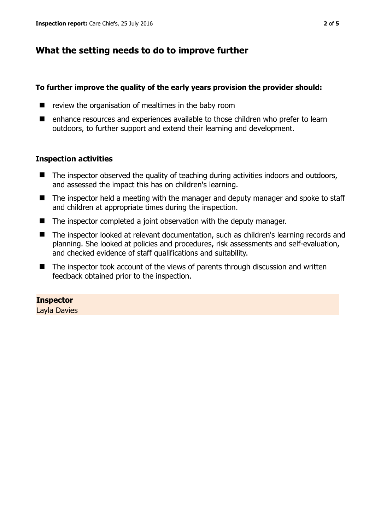## **What the setting needs to do to improve further**

#### **To further improve the quality of the early years provision the provider should:**

- $\blacksquare$  review the organisation of mealtimes in the baby room
- enhance resources and experiences available to those children who prefer to learn outdoors, to further support and extend their learning and development.

#### **Inspection activities**

- The inspector observed the quality of teaching during activities indoors and outdoors, and assessed the impact this has on children's learning.
- The inspector held a meeting with the manager and deputy manager and spoke to staff and children at appropriate times during the inspection.
- The inspector completed a joint observation with the deputy manager.
- The inspector looked at relevant documentation, such as children's learning records and planning. She looked at policies and procedures, risk assessments and self-evaluation, and checked evidence of staff qualifications and suitability.
- The inspector took account of the views of parents through discussion and written feedback obtained prior to the inspection.

#### **Inspector**

Layla Davies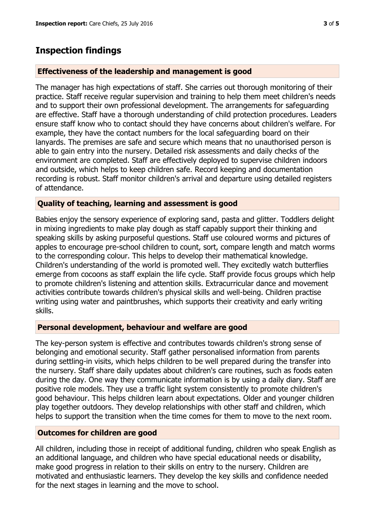# **Inspection findings**

### **Effectiveness of the leadership and management is good**

The manager has high expectations of staff. She carries out thorough monitoring of their practice. Staff receive regular supervision and training to help them meet children's needs and to support their own professional development. The arrangements for safeguarding are effective. Staff have a thorough understanding of child protection procedures. Leaders ensure staff know who to contact should they have concerns about children's welfare. For example, they have the contact numbers for the local safeguarding board on their lanyards. The premises are safe and secure which means that no unauthorised person is able to gain entry into the nursery. Detailed risk assessments and daily checks of the environment are completed. Staff are effectively deployed to supervise children indoors and outside, which helps to keep children safe. Record keeping and documentation recording is robust. Staff monitor children's arrival and departure using detailed registers of attendance.

#### **Quality of teaching, learning and assessment is good**

Babies enjoy the sensory experience of exploring sand, pasta and glitter. Toddlers delight in mixing ingredients to make play dough as staff capably support their thinking and speaking skills by asking purposeful questions. Staff use coloured worms and pictures of apples to encourage pre-school children to count, sort, compare length and match worms to the corresponding colour. This helps to develop their mathematical knowledge. Children's understanding of the world is promoted well. They excitedly watch butterflies emerge from cocoons as staff explain the life cycle. Staff provide focus groups which help to promote children's listening and attention skills. Extracurricular dance and movement activities contribute towards children's physical skills and well-being. Children practise writing using water and paintbrushes, which supports their creativity and early writing skills.

#### **Personal development, behaviour and welfare are good**

The key-person system is effective and contributes towards children's strong sense of belonging and emotional security. Staff gather personalised information from parents during settling-in visits, which helps children to be well prepared during the transfer into the nursery. Staff share daily updates about children's care routines, such as foods eaten during the day. One way they communicate information is by using a daily diary. Staff are positive role models. They use a traffic light system consistently to promote children's good behaviour. This helps children learn about expectations. Older and younger children play together outdoors. They develop relationships with other staff and children, which helps to support the transition when the time comes for them to move to the next room.

## **Outcomes for children are good**

All children, including those in receipt of additional funding, children who speak English as an additional language, and children who have special educational needs or disability, make good progress in relation to their skills on entry to the nursery. Children are motivated and enthusiastic learners. They develop the key skills and confidence needed for the next stages in learning and the move to school.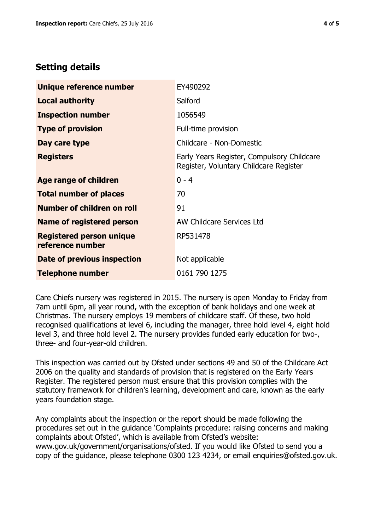# **Setting details**

| Unique reference number                             | EY490292                                                                             |  |
|-----------------------------------------------------|--------------------------------------------------------------------------------------|--|
| <b>Local authority</b>                              | Salford                                                                              |  |
| <b>Inspection number</b>                            | 1056549                                                                              |  |
| <b>Type of provision</b>                            | Full-time provision                                                                  |  |
| Day care type                                       | Childcare - Non-Domestic                                                             |  |
| <b>Registers</b>                                    | Early Years Register, Compulsory Childcare<br>Register, Voluntary Childcare Register |  |
| <b>Age range of children</b>                        | $0 - 4$                                                                              |  |
| <b>Total number of places</b>                       | 70                                                                                   |  |
| Number of children on roll                          | 91                                                                                   |  |
| Name of registered person                           | AW Childcare Services Ltd                                                            |  |
| <b>Registered person unique</b><br>reference number | RP531478                                                                             |  |
| Date of previous inspection                         | Not applicable                                                                       |  |
| <b>Telephone number</b>                             | 0161 790 1275                                                                        |  |

Care Chiefs nursery was registered in 2015. The nursery is open Monday to Friday from 7am until 6pm, all year round, with the exception of bank holidays and one week at Christmas. The nursery employs 19 members of childcare staff. Of these, two hold recognised qualifications at level 6, including the manager, three hold level 4, eight hold level 3, and three hold level 2. The nursery provides funded early education for two-, three- and four-year-old children.

This inspection was carried out by Ofsted under sections 49 and 50 of the Childcare Act 2006 on the quality and standards of provision that is registered on the Early Years Register. The registered person must ensure that this provision complies with the statutory framework for children's learning, development and care, known as the early years foundation stage.

Any complaints about the inspection or the report should be made following the procedures set out in the guidance 'Complaints procedure: raising concerns and making complaints about Ofsted', which is available from Ofsted's website: www.gov.uk/government/organisations/ofsted. If you would like Ofsted to send you a copy of the guidance, please telephone 0300 123 4234, or email enquiries@ofsted.gov.uk.